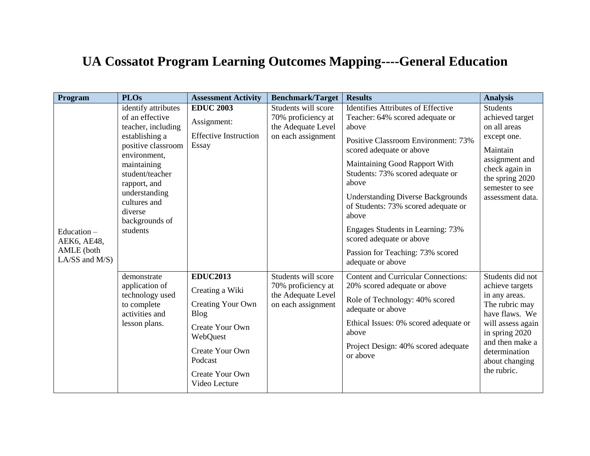## **UA Cossatot Program Learning Outcomes Mapping----General Education**

| Program                                                      | <b>PLOs</b>                                                                                                                                                                                                                                      | <b>Assessment Activity</b>                                                                                                                                              | <b>Benchmark/Target</b>                                                               | <b>Results</b>                                                                                                                                                                                                                                                                                                                                                                                                                                               | <b>Analysis</b>                                                                                                                                                                                      |
|--------------------------------------------------------------|--------------------------------------------------------------------------------------------------------------------------------------------------------------------------------------------------------------------------------------------------|-------------------------------------------------------------------------------------------------------------------------------------------------------------------------|---------------------------------------------------------------------------------------|--------------------------------------------------------------------------------------------------------------------------------------------------------------------------------------------------------------------------------------------------------------------------------------------------------------------------------------------------------------------------------------------------------------------------------------------------------------|------------------------------------------------------------------------------------------------------------------------------------------------------------------------------------------------------|
| Education-<br>AEK6, AE48,<br>AMLE (both<br>LA/SS and $M/S$ ) | identify attributes<br>of an effective<br>teacher, including<br>establishing a<br>positive classroom<br>environment,<br>maintaining<br>student/teacher<br>rapport, and<br>understanding<br>cultures and<br>diverse<br>backgrounds of<br>students | <b>EDUC 2003</b><br>Assignment:<br><b>Effective Instruction</b><br>Essay                                                                                                | Students will score<br>70% proficiency at<br>the Adequate Level<br>on each assignment | <b>Identifies Attributes of Effective</b><br>Teacher: 64% scored adequate or<br>above<br>Positive Classroom Environment: 73%<br>scored adequate or above<br>Maintaining Good Rapport With<br>Students: 73% scored adequate or<br>above<br><b>Understanding Diverse Backgrounds</b><br>of Students: 73% scored adequate or<br>above<br>Engages Students in Learning: 73%<br>scored adequate or above<br>Passion for Teaching: 73% scored<br>adequate or above | <b>Students</b><br>achieved target<br>on all areas<br>except one.<br>Maintain<br>assignment and<br>check again in<br>the spring 2020<br>semester to see<br>assessment data.                          |
|                                                              | demonstrate<br>application of<br>technology used<br>to complete<br>activities and<br>lesson plans.                                                                                                                                               | <b>EDUC2013</b><br>Creating a Wiki<br>Creating Your Own<br><b>Blog</b><br>Create Your Own<br>WebQuest<br>Create Your Own<br>Podcast<br>Create Your Own<br>Video Lecture | Students will score<br>70% proficiency at<br>the Adequate Level<br>on each assignment | <b>Content and Curricular Connections:</b><br>20% scored adequate or above<br>Role of Technology: 40% scored<br>adequate or above<br>Ethical Issues: 0% scored adequate or<br>above<br>Project Design: 40% scored adequate<br>or above                                                                                                                                                                                                                       | Students did not<br>achieve targets<br>in any areas.<br>The rubric may<br>have flaws. We<br>will assess again<br>in spring 2020<br>and then make a<br>determination<br>about changing<br>the rubric. |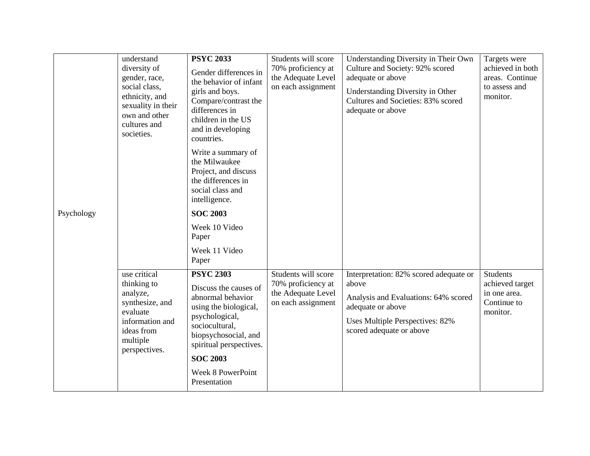| Psychology | understand<br>diversity of<br>gender, race,<br>social class,<br>ethnicity, and<br>sexuality in their<br>own and other<br>cultures and<br>societies. | <b>PSYC 2033</b><br>Gender differences in<br>the behavior of infant<br>girls and boys.<br>Compare/contrast the<br>differences in<br>children in the US<br>and in developing<br>countries. | Students will score<br>70% proficiency at<br>the Adequate Level<br>on each assignment | Understanding Diversity in Their Own<br>Culture and Society: 92% scored<br>adequate or above<br>Understanding Diversity in Other<br>Cultures and Societies: 83% scored<br>adequate or above | Targets were<br>achieved in both<br>areas. Continue<br>to assess and<br>monitor. |
|------------|-----------------------------------------------------------------------------------------------------------------------------------------------------|-------------------------------------------------------------------------------------------------------------------------------------------------------------------------------------------|---------------------------------------------------------------------------------------|---------------------------------------------------------------------------------------------------------------------------------------------------------------------------------------------|----------------------------------------------------------------------------------|
|            |                                                                                                                                                     | Write a summary of<br>the Milwaukee<br>Project, and discuss<br>the differences in<br>social class and<br>intelligence.                                                                    |                                                                                       |                                                                                                                                                                                             |                                                                                  |
|            |                                                                                                                                                     | <b>SOC 2003</b><br>Week 10 Video                                                                                                                                                          |                                                                                       |                                                                                                                                                                                             |                                                                                  |
|            |                                                                                                                                                     | Paper                                                                                                                                                                                     |                                                                                       |                                                                                                                                                                                             |                                                                                  |
|            |                                                                                                                                                     | Week 11 Video<br>Paper                                                                                                                                                                    |                                                                                       |                                                                                                                                                                                             |                                                                                  |
|            | use critical<br>thinking to<br>analyze,<br>synthesize, and<br>evaluate<br>information and<br>ideas from<br>multiple<br>perspectives.                | <b>PSYC 2303</b><br>Discuss the causes of<br>abnormal behavior<br>using the biological,<br>psychological,<br>sociocultural,<br>biopsychosocial, and<br>spiritual perspectives.            | Students will score<br>70% proficiency at<br>the Adequate Level<br>on each assignment | Interpretation: 82% scored adequate or<br>above<br>Analysis and Evaluations: 64% scored<br>adequate or above<br>Uses Multiple Perspectives: 82%<br>scored adequate or above                 | <b>Students</b><br>achieved target<br>in one area.<br>Continue to<br>monitor.    |
|            |                                                                                                                                                     | <b>SOC 2003</b><br>Week 8 PowerPoint                                                                                                                                                      |                                                                                       |                                                                                                                                                                                             |                                                                                  |
|            |                                                                                                                                                     | Presentation                                                                                                                                                                              |                                                                                       |                                                                                                                                                                                             |                                                                                  |